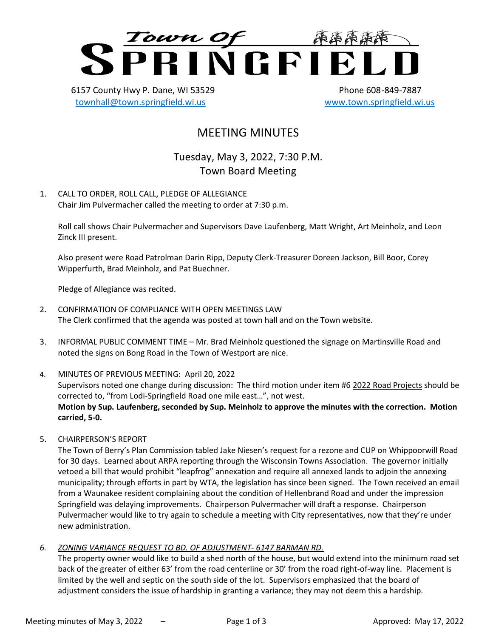

6157 County Hwy P. Dane, WI 53529 Phone 608-849-7887 [townhall@town.springfield.wi.us](mailto:townhall@town.springfield.wi.us) [www.town.springfield.wi.us](http://www.town.springfield.wi.us/)

# MEETING MINUTES

Tuesday, May 3, 2022, 7:30 P.M. Town Board Meeting

1. CALL TO ORDER, ROLL CALL, PLEDGE OF ALLEGIANCE Chair Jim Pulvermacher called the meeting to order at 7:30 p.m.

Roll call shows Chair Pulvermacher and Supervisors Dave Laufenberg, Matt Wright, Art Meinholz, and Leon Zinck III present.

Also present were Road Patrolman Darin Ripp, Deputy Clerk-Treasurer Doreen Jackson, Bill Boor, Corey Wipperfurth, Brad Meinholz, and Pat Buechner.

Pledge of Allegiance was recited.

- 2. CONFIRMATION OF COMPLIANCE WITH OPEN MEETINGS LAW The Clerk confirmed that the agenda was posted at town hall and on the Town website.
- 3. INFORMAL PUBLIC COMMENT TIME Mr. Brad Meinholz questioned the signage on Martinsville Road and noted the signs on Bong Road in the Town of Westport are nice.
- 4. MINUTES OF PREVIOUS MEETING: April 20, 2022 Supervisors noted one change during discussion: The third motion under item #6 2022 Road Projects should be corrected to, "from Lodi-Springfield Road one mile east…", not west. **Motion by Sup. Laufenberg, seconded by Sup. Meinholz to approve the minutes with the correction. Motion carried, 5-0.**
- 5. CHAIRPERSON'S REPORT

The Town of Berry's Plan Commission tabled Jake Niesen's request for a rezone and CUP on Whippoorwill Road for 30 days. Learned about ARPA reporting through the Wisconsin Towns Association. The governor initially vetoed a bill that would prohibit "leapfrog" annexation and require all annexed lands to adjoin the annexing municipality; through efforts in part by WTA, the legislation has since been signed. The Town received an email from a Waunakee resident complaining about the condition of Hellenbrand Road and under the impression Springfield was delaying improvements. Chairperson Pulvermacher will draft a response. Chairperson Pulvermacher would like to try again to schedule a meeting with City representatives, now that they're under new administration.

*6. ZONING VARIANCE REQUEST TO BD. OF ADJUSTMENT- 6147 BARMAN RD.*

The property owner would like to build a shed north of the house, but would extend into the minimum road set back of the greater of either 63' from the road centerline or 30' from the road right-of-way line. Placement is limited by the well and septic on the south side of the lot. Supervisors emphasized that the board of adjustment considers the issue of hardship in granting a variance; they may not deem this a hardship.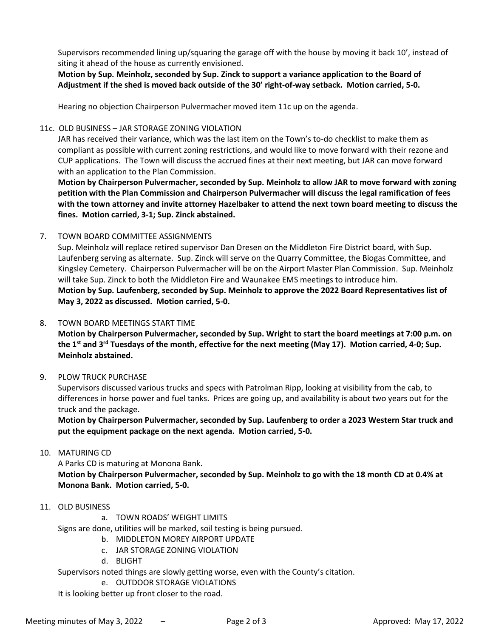Supervisors recommended lining up/squaring the garage off with the house by moving it back 10', instead of siting it ahead of the house as currently envisioned.

**Motion by Sup. Meinholz, seconded by Sup. Zinck to support a variance application to the Board of Adjustment if the shed is moved back outside of the 30' right-of-way setback. Motion carried, 5-0.**

Hearing no objection Chairperson Pulvermacher moved item 11c up on the agenda.

#### 11c. OLD BUSINESS – JAR STORAGE ZONING VIOLATION

JAR has received their variance, which was the last item on the Town's to-do checklist to make them as compliant as possible with current zoning restrictions, and would like to move forward with their rezone and CUP applications. The Town will discuss the accrued fines at their next meeting, but JAR can move forward with an application to the Plan Commission.

**Motion by Chairperson Pulvermacher, seconded by Sup. Meinholz to allow JAR to move forward with zoning petition with the Plan Commission and Chairperson Pulvermacher will discuss the legal ramification of fees with the town attorney and invite attorney Hazelbaker to attend the next town board meeting to discuss the fines. Motion carried, 3-1; Sup. Zinck abstained.**

#### 7. TOWN BOARD COMMITTEE ASSIGNMENTS

Sup. Meinholz will replace retired supervisor Dan Dresen on the Middleton Fire District board, with Sup. Laufenberg serving as alternate. Sup. Zinck will serve on the Quarry Committee, the Biogas Committee, and Kingsley Cemetery. Chairperson Pulvermacher will be on the Airport Master Plan Commission. Sup. Meinholz will take Sup. Zinck to both the Middleton Fire and Waunakee EMS meetings to introduce him. **Motion by Sup. Laufenberg, seconded by Sup. Meinholz to approve the 2022 Board Representatives list of May 3, 2022 as discussed. Motion carried, 5-0.**

#### 8. TOWN BOARD MEETINGS START TIME

**Motion by Chairperson Pulvermacher, seconded by Sup. Wright to start the board meetings at 7:00 p.m. on the 1st and 3rd Tuesdays of the month, effective for the next meeting (May 17). Motion carried, 4-0; Sup. Meinholz abstained.**

#### 9. PLOW TRUCK PURCHASE

Supervisors discussed various trucks and specs with Patrolman Ripp, looking at visibility from the cab, to differences in horse power and fuel tanks. Prices are going up, and availability is about two years out for the truck and the package.

**Motion by Chairperson Pulvermacher, seconded by Sup. Laufenberg to order a 2023 Western Star truck and put the equipment package on the next agenda. Motion carried, 5-0.**

#### 10. MATURING CD

A Parks CD is maturing at Monona Bank.

**Motion by Chairperson Pulvermacher, seconded by Sup. Meinholz to go with the 18 month CD at 0.4% at Monona Bank. Motion carried, 5-0.**

#### 11. OLD BUSINESS

a. TOWN ROADS' WEIGHT LIMITS

Signs are done, utilities will be marked, soil testing is being pursued.

- b. MIDDLETON MOREY AIRPORT UPDATE
- c. JAR STORAGE ZONING VIOLATION
- d. BLIGHT

Supervisors noted things are slowly getting worse, even with the County's citation.

e. OUTDOOR STORAGE VIOLATIONS

It is looking better up front closer to the road.